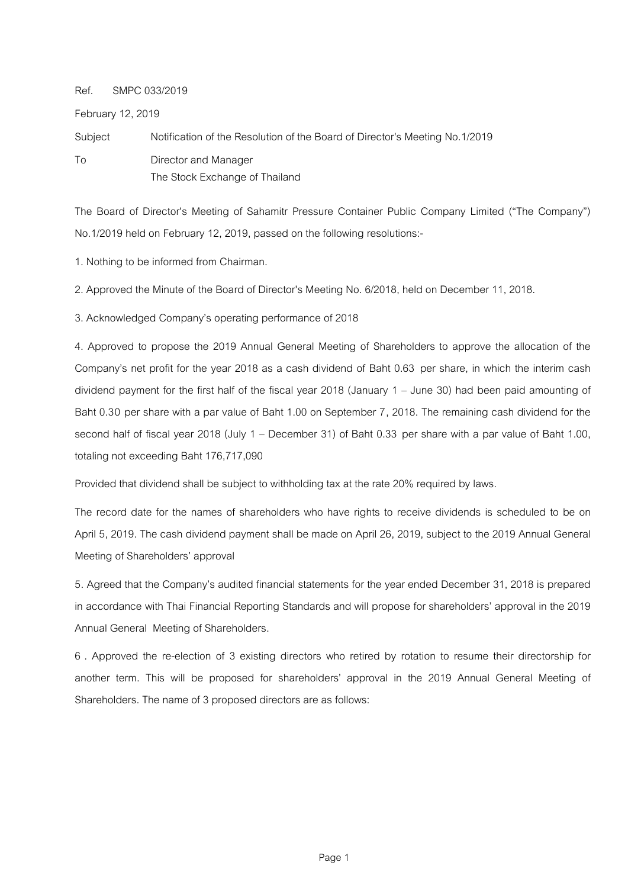## Ref. SMPC 033/2019

February 12, 2019

Subject Notification of the Resolution of the Board of Director's Meeting No.1/2019 To Director and Manager The Stock Exchange of Thailand

The Board of Director's Meeting of Sahamitr Pressure Container Public Company Limited ("The Company") No.1/2019 held on February 12, 2019, passed on the following resolutions:-

1. Nothing to be informed from Chairman.

2. Approved the Minute of the Board of Director's Meeting No. 6/2018, held on December 11, 2018.

3. Acknowledged Company's operating performance of 2018

4. Approved to propose the 2019 Annual General Meeting of Shareholders to approve the allocation of the Company's net profit for the year 2018 as a cash dividend of Baht 0.63 per share, in which the interim cash dividend payment for the first half of the fiscal year 2018 (January 1 – June 30) had been paid amounting of Baht 0.30 per share with a par value of Baht 1.00 on September 7, 2018. The remaining cash dividend for the second half of fiscal year 2018 (July 1 – December 31) of Baht 0.33 per share with a par value of Baht 1.00, totaling not exceeding Baht 176,717,090

Provided that dividend shall be subject to withholding tax at the rate 20% required by laws.

The record date for the names of shareholders who have rights to receive dividends is scheduled to be on April 5, 2019. The cash dividend payment shall be made on April 26, 2019, subject to the 2019 Annual General Meeting of Shareholders' approval

5. Agreed that the Company's audited financial statements for the year ended December 31, 2018 is prepared in accordance with Thai Financial Reporting Standards and will propose for shareholders' approval in the 2019 Annual General Meeting of Shareholders.

6 . Approved the re-election of 3 existing directors who retired by rotation to resume their directorship for another term. This will be proposed for shareholders' approval in the 2019 Annual General Meeting of Shareholders. The name of 3 proposed directors are as follows: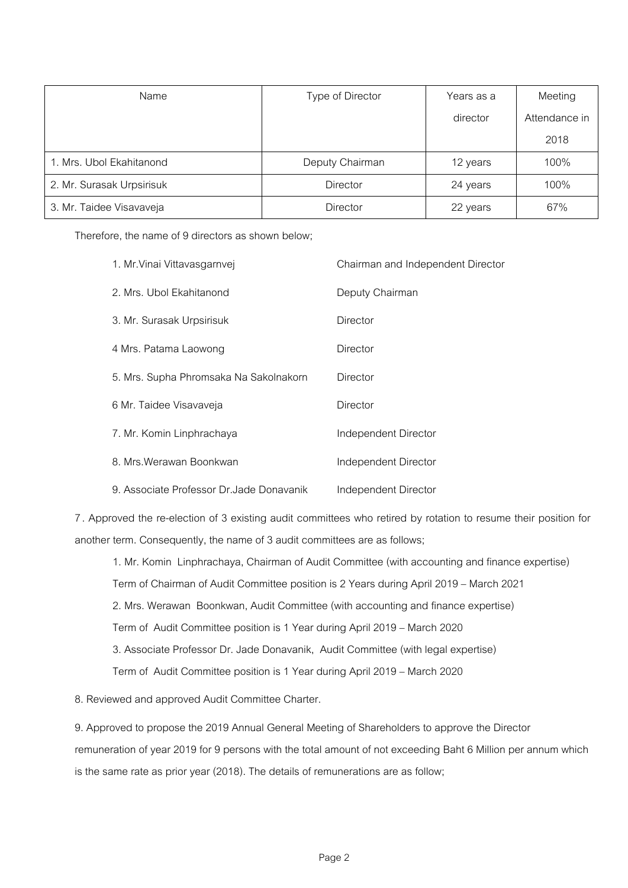| Name                      | Type of Director | Years as a | Meeting       |
|---------------------------|------------------|------------|---------------|
|                           |                  | director   | Attendance in |
|                           |                  |            | 2018          |
| 1. Mrs. Ubol Ekahitanond  | Deputy Chairman  | 12 years   | 100%          |
| 2. Mr. Surasak Urpsirisuk | <b>Director</b>  | 24 years   | 100%          |
| 3. Mr. Taidee Visavaveja  | <b>Director</b>  | 22 years   | 67%           |

Therefore, the name of 9 directors as shown below;

| 1. Mr. Vinai Vittavasgarnvej              | Chairman and Independent Director |
|-------------------------------------------|-----------------------------------|
| 2. Mrs. Ubol Ekahitanond                  | Deputy Chairman                   |
| 3. Mr. Surasak Urpsirisuk                 | Director                          |
| 4 Mrs. Patama Laowong                     | Director                          |
| 5. Mrs. Supha Phromsaka Na Sakolnakorn    | Director                          |
| 6 Mr. Taidee Visavaveja                   | Director                          |
| 7. Mr. Komin Linphrachaya                 | Independent Director              |
| 8. Mrs. Werawan Boonkwan                  | Independent Director              |
| 9. Associate Professor Dr. Jade Donavanik | Independent Director              |

7 . Approved the re-election of 3 existing audit committees who retired by rotation to resume their position for another term. Consequently, the name of 3 audit committees are as follows;

1. Mr. Komin Linphrachaya, Chairman of Audit Committee (with accounting and finance expertise)

Term of Chairman of Audit Committee position is 2 Years during April 2019 – March 2021

2. Mrs. Werawan Boonkwan, Audit Committee (with accounting and finance expertise)

Term of Audit Committee position is 1 Year during April 2019 – March 2020

3. Associate Professor Dr. Jade Donavanik, Audit Committee (with legal expertise)

Term of Audit Committee position is 1 Year during April 2019 – March 2020

8. Reviewed and approved Audit Committee Charter.

9. Approved to propose the 2019 Annual General Meeting of Shareholders to approve the Director

remuneration of year 2019 for 9 persons with the total amount of not exceeding Baht 6 Million per annum which is the same rate as prior year (2018). The details of remunerations are as follow;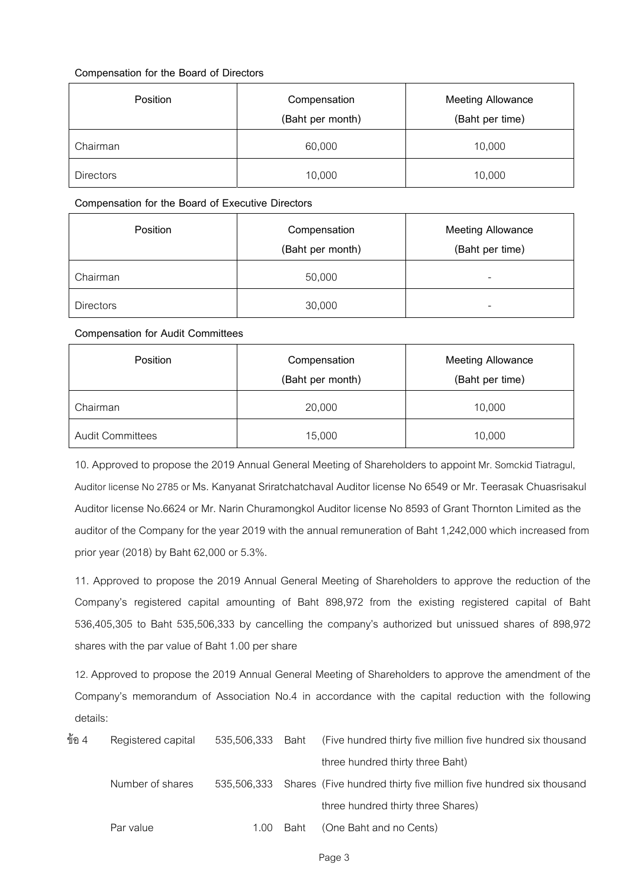## **Compensation for the Board of Directors**

| <b>Position</b>  | Compensation<br>(Baht per month) | <b>Meeting Allowance</b><br>(Baht per time) |  |
|------------------|----------------------------------|---------------------------------------------|--|
| Chairman         | 60,000                           | 10,000                                      |  |
| <b>Directors</b> | 10,000                           | 10,000                                      |  |

## **Compensation for the Board of Executive Directors**

| Position         | Compensation<br>(Baht per month) | <b>Meeting Allowance</b><br>(Baht per time) |  |
|------------------|----------------------------------|---------------------------------------------|--|
| Chairman         | 50,000                           | $\overline{\phantom{a}}$                    |  |
| <b>Directors</b> | 30,000                           | $\qquad \qquad \blacksquare$                |  |

**Compensation for Audit Committees** 

| <b>Position</b>         | Compensation<br>(Baht per month) | <b>Meeting Allowance</b><br>(Baht per time) |
|-------------------------|----------------------------------|---------------------------------------------|
| Chairman                | 20,000                           | 10,000                                      |
| <b>Audit Committees</b> | 15,000                           | 10,000                                      |

10. Approved to propose the 2019 Annual General Meeting of Shareholders to appoint Mr. Somckid Tiatragul, Auditor license No 2785 or Ms. Kanyanat Sriratchatchaval Auditor license No 6549 or Mr. Teerasak Chuasrisakul Auditor license No.6624 or Mr. Narin Churamongkol Auditor license No 8593 of Grant Thornton Limited as the auditor of the Company for the year 2019 with the annual remuneration of Baht 1,242,000 which increased from prior year (2018) by Baht 62,000 or 5.3%.

11. Approved to propose the 2019 Annual General Meeting of Shareholders to approve the reduction of the Company's registered capital amounting of Baht 898,972 from the existing registered capital of Baht 536,405,305 to Baht 535,506,333 by cancelling the company's authorized but unissued shares of 898,972 shares with the par value of Baht 1.00 per share

12. Approved to propose the 2019 Annual General Meeting of Shareholders to approve the amendment of the Company's memorandum of Association No.4 in accordance with the capital reduction with the following details:

| ข้อ 4 | Registered capital | 535,506,333 | Baht | (Five hundred thirty five million five hundred six thousand        |
|-------|--------------------|-------------|------|--------------------------------------------------------------------|
|       |                    |             |      | three hundred thirty three Baht)                                   |
|       | Number of shares   | 535.506.333 |      | Shares (Five hundred thirty five million five hundred six thousand |
|       |                    |             |      | three hundred thirty three Shares)                                 |
|       | Par value          | 1.00.       | Baht | (One Baht and no Cents)                                            |
|       |                    |             |      |                                                                    |